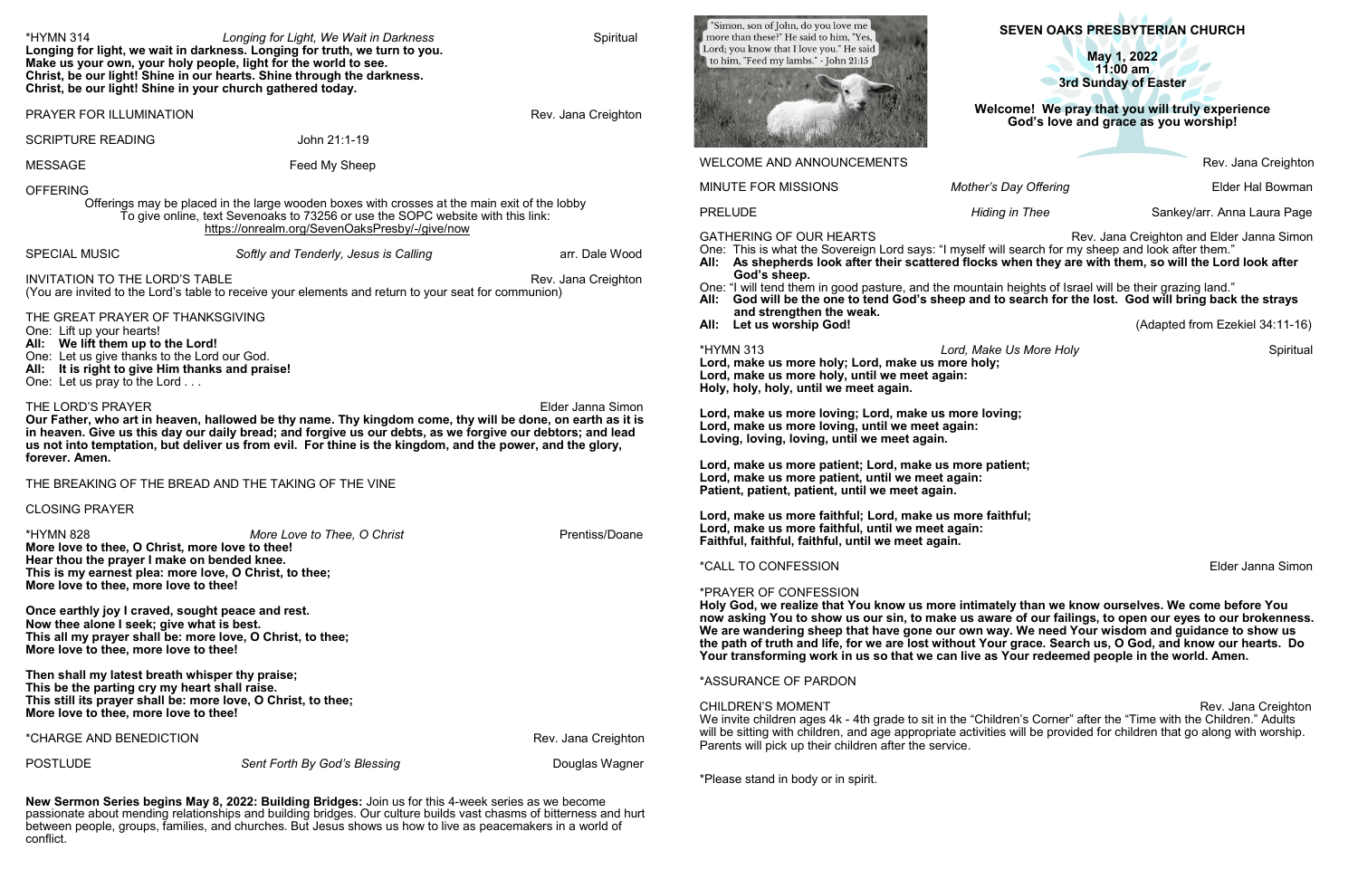**SEVEN OAKS PRESBYTERIAN CHURCH**

**May 1, 2022 11:00 am 3rd Sunday of Easter** 

**Welcome!****We pray that you will truly experience God's love and grace as you worship!**

Rev. Jana Creighton

*Mother's Day Offering* **Elder Hal Bowman** 

*Hiding in Thee* **Sankey/arr. Anna Laura Page** 

Rev. Jana Creighton and Elder Janna Simon s: "I myself will search for my sheep and look after them." **All: As shepherds look after their scattered flocks when they are with them, so will the Lord look after** 

| <b>*HYMN 314</b>                                                                                                                                                                                                                                     | Longing for Light, We Wait in Darkness<br>Longing for light, we wait in darkness. Longing for truth, we turn to you.<br>Make us your own, your holy people, light for the world to see.<br>Christ, be our light! Shine in our hearts. Shine through the darkness.<br>Christ, be our light! Shine in your church gathered today.       | Spiritual           | "Simon, son of John, do you love me<br>more than these?" He said to him, "Yes,<br>Lord; you know that I love you." He said<br>to him, "Feed my lambs." - John 21:15                                                                                                                           |   |
|------------------------------------------------------------------------------------------------------------------------------------------------------------------------------------------------------------------------------------------------------|---------------------------------------------------------------------------------------------------------------------------------------------------------------------------------------------------------------------------------------------------------------------------------------------------------------------------------------|---------------------|-----------------------------------------------------------------------------------------------------------------------------------------------------------------------------------------------------------------------------------------------------------------------------------------------|---|
| PRAYER FOR ILLUMINATION                                                                                                                                                                                                                              |                                                                                                                                                                                                                                                                                                                                       | Rev. Jana Creighton |                                                                                                                                                                                                                                                                                               | W |
| <b>SCRIPTURE READING</b>                                                                                                                                                                                                                             | John 21:1-19                                                                                                                                                                                                                                                                                                                          |                     |                                                                                                                                                                                                                                                                                               |   |
| <b>MESSAGE</b>                                                                                                                                                                                                                                       | Feed My Sheep                                                                                                                                                                                                                                                                                                                         |                     | <b>WELCOME AND ANNOUNCEMENTS</b>                                                                                                                                                                                                                                                              |   |
| <b>OFFERING</b><br>Offerings may be placed in the large wooden boxes with crosses at the main exit of the lobby<br>To give online, text Sevenoaks to 73256 or use the SOPC website with this link:<br>https://onrealm.org/SevenOaksPresby/-/give/now |                                                                                                                                                                                                                                                                                                                                       |                     | <b>MINUTE FOR MISSIONS</b><br>Mother<br><b>PRELUDE</b><br>Hic<br><b>GATHERING OF OUR HEARTS</b>                                                                                                                                                                                               |   |
| <b>SPECIAL MUSIC</b>                                                                                                                                                                                                                                 | Softly and Tenderly, Jesus is Calling                                                                                                                                                                                                                                                                                                 | arr. Dale Wood      | One: This is what the Sovereign Lord says: "I myself<br>All: As shepherds look after their scattered flock                                                                                                                                                                                    |   |
| <b>INVITATION TO THE LORD'S TABLE</b><br>Rev. Jana Creighton<br>(You are invited to the Lord's table to receive your elements and return to your seat for communion)<br>THE GREAT PRAYER OF THANKSGIVING                                             |                                                                                                                                                                                                                                                                                                                                       |                     | God's sheep.<br>One: "I will tend them in good pasture, and the mount<br>God will be the one to tend God's sheep and<br>All:<br>and strengthen the weak.                                                                                                                                      |   |
| One: Lift up your hearts!<br>All: We lift them up to the Lord!<br>One: Let us give thanks to the Lord our God.<br>All: It is right to give Him thanks and praise!<br>One: Let us pray to the Lord                                                    |                                                                                                                                                                                                                                                                                                                                       |                     | All:<br>Let us worship God!<br><b>*HYMN 313</b><br>Lord, Ma<br>Lord, make us more holy; Lord, make us more ho<br>Lord, make us more holy, until we meet again:<br>Holy, holy, holy, until we meet again.                                                                                      |   |
| THE LORD'S PRAYER<br>forever. Amen.                                                                                                                                                                                                                  | Our Father, who art in heaven, hallowed be thy name. Thy kingdom come, thy will be done, on earth as it is<br>in heaven. Give us this day our daily bread; and forgive us our debts, as we forgive our debtors; and lead<br>us not into temptation, but deliver us from evil. For thine is the kingdom, and the power, and the glory, | Elder Janna Simon   | Lord, make us more loving; Lord, make us more le<br>Lord, make us more loving, until we meet again:<br>Loving, loving, loving, until we meet again.<br>Lord, make us more patient; Lord, make us more                                                                                         |   |
|                                                                                                                                                                                                                                                      | THE BREAKING OF THE BREAD AND THE TAKING OF THE VINE                                                                                                                                                                                                                                                                                  |                     | Lord, make us more patient, until we meet again:<br>Patient, patient, patient, until we meet again.                                                                                                                                                                                           |   |
| <b>CLOSING PRAYER</b><br><b>*HYMN 828</b><br>More love to thee, O Christ, more love to thee!                                                                                                                                                         | More Love to Thee, O Christ                                                                                                                                                                                                                                                                                                           | Prentiss/Doane      | Lord, make us more faithful; Lord, make us more<br>Lord, make us more faithful, until we meet again:<br>Faithful, faithful, faithful, until we meet again.                                                                                                                                    |   |
|                                                                                                                                                                                                                                                      | Hear thou the prayer I make on bended knee.<br>This is my earnest plea: more love, O Christ, to thee;                                                                                                                                                                                                                                 |                     | <i><b>*CALL TO CONFESSION</b></i>                                                                                                                                                                                                                                                             |   |
| More love to thee, more love to thee!<br>Once earthly joy I craved, sought peace and rest.<br>Now thee alone I seek; give what is best.<br>This all my prayer shall be: more love, O Christ, to thee;<br>More love to thee, more love to thee!       |                                                                                                                                                                                                                                                                                                                                       |                     | *PRAYER OF CONFESSION<br>Holy God, we realize that You know us more intim<br>now asking You to show us our sin, to make us at<br>We are wandering sheep that have gone our own<br>the path of truth and life, for we are lost without Y<br>Your transforming work in us so that we can live a |   |
| Then shall my latest breath whisper thy praise;<br>This be the parting cry my heart shall raise.                                                                                                                                                     |                                                                                                                                                                                                                                                                                                                                       |                     | *ASSURANCE OF PARDON                                                                                                                                                                                                                                                                          |   |
| More love to thee, more love to thee!                                                                                                                                                                                                                | This still its prayer shall be: more love, O Christ, to thee;                                                                                                                                                                                                                                                                         |                     | <b>CHILDREN'S MOMENT</b><br>We invite children ages 4k - 4th grade to sit in the "Che                                                                                                                                                                                                         |   |
| *CHARGE AND BENEDICTION                                                                                                                                                                                                                              |                                                                                                                                                                                                                                                                                                                                       | Rev. Jana Creighton | will be sitting with children, and age appropriate activi<br>Parents will pick up their children after the service.                                                                                                                                                                           |   |
| <b>POSTLUDE</b>                                                                                                                                                                                                                                      | Sent Forth By God's Blessing                                                                                                                                                                                                                                                                                                          | Douglas Wagner      | *Please stand in body or in spirit.                                                                                                                                                                                                                                                           |   |

the mountain heights of Israel will be their grazing land." **All is sheep and to search for the lost. God will bring back the strays** 

**All: Let us worship God!** (Adapted from Ezekiel 34:11-16)

**Lord, Make Us More Holy**   $\blacksquare$  Spiritual **Lorgie more holy;** 

**Las more loving;** 

**Le** us more patient;

**Le** us more faithful;

**Elder Janna Simon** 

more intimately than we know ourselves. We come before You make us aware of our failings, to open our eyes to our brokenness. e our own way. We need Your wisdom and guidance to show us **t without Your grace. Search us, O God, and know our hearts. Do e can live as Your redeemed people in the world. Amen.** 

Rev. Jana Creighton  $\,$ it in the "Children's Corner" after the "Time with the Children." Adults priate activities will be provided for children that go along with worship.

**New Sermon Series begins May 8, 2022: Building Bridges:** Join us for this 4-week series as we become passionate about mending relationships and building bridges. Our culture builds vast chasms of bitterness and hurt between people, groups, families, and churches. But Jesus shows us how to live as peacemakers in a world of conflict.